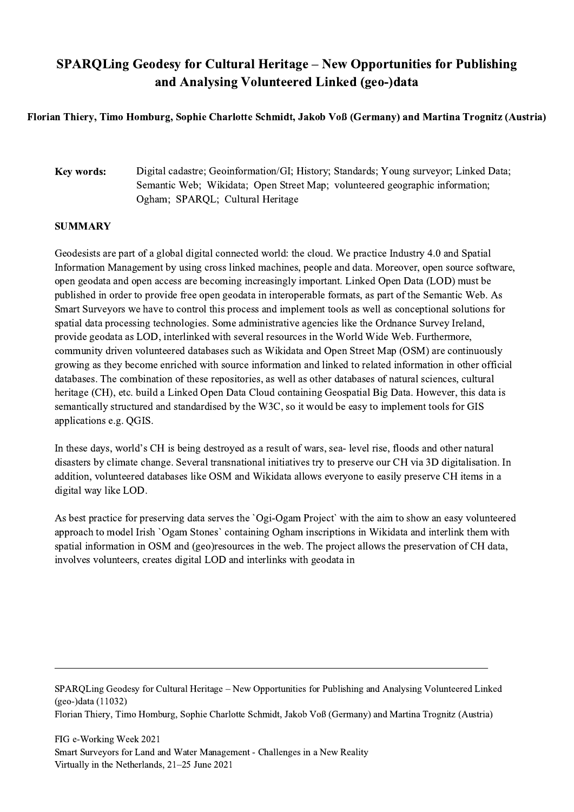## SPARQLing Geodesy for Cultural Heritage – New Opportunities for Publishing and Analysing Volunteered Linked (geo-)data

## Florian Thiery, Timo Homburg, Sophie Charlotte Schmidt, Jakob Voß (Germany) and Martina Trognitz (Austria)

## Key words: Digital cadastre; Geoinformation/GI; History; Standards; Young surveyor; Linked Data; Semantic Web; Wikidata; Open Street Map; volunteered geographic information; Ogham; SPARQL; Cultural Heritage

## **SUMMARY**

Geodesists are part of a global digital connected world: the cloud. We practice Industry 4.0 and Spatial Information Management by using cross linked machines, people and data. Moreover, open source software, open geodata and open access are becoming increasingly important. Linked Open Data (LOD) must be published in order to provide free open geodata in interoperable formats, as part of the Semantic Web. As Smart Surveyors we have to control this process and implement tools as well as conceptional solutions for spatial data processing technologies. Some administrative agencies like the Ordnance Survey Ireland, provide geodata as LOD, interlinked with several resources in the World Wide Web. Furthermore, community driven volunteered databases such as Wikidata and Open Street Map (OSM) are continuously growing as they become enriched with source information and linked to related information in other official databases. The combination of these repositories, as well as other databases of natural sciences, cultural heritage (CH), etc. build a Linked Open Data Cloud containing Geospatial Big Data. However, this data is semantically structured and standardised by the W3C, so it would be easy to implement tools for GIS applications e.g. QGIS.

In these days, world's CH is being destroyed as a result of wars, sea- level rise, floods and other natural disasters by climate change. Several transnational initiatives try to preserve our CH via 3D digitalisation. In addition, volunteered databases like OSM and Wikidata allows everyone to easily preserve CH items in a digital way like LOD.

As best practice for preserving data serves the `Ogi-Ogam Project` with the aim to show an easy volunteered approach to model Irish `Ogam Stones` containing Ogham inscriptions in Wikidata and interlink them with spatial information in OSM and (geo)resources in the web. The project allows the preservation of CH data, involves volunteers, creates digital LOD and interlinks with geodata in

SPARQLing Geodesy for Cultural Heritage – New Opportunities for Publishing and Analysing Volunteered Linked (geo-)data (11032)

Florian Thiery, Timo Homburg, Sophie Charlotte Schmidt, Jakob Voß (Germany) and Martina Trognitz (Austria)

 $\mathcal{L}_\mathcal{L} = \{ \mathcal{L}_\mathcal{L} = \{ \mathcal{L}_\mathcal{L} = \{ \mathcal{L}_\mathcal{L} = \{ \mathcal{L}_\mathcal{L} = \{ \mathcal{L}_\mathcal{L} = \{ \mathcal{L}_\mathcal{L} = \{ \mathcal{L}_\mathcal{L} = \{ \mathcal{L}_\mathcal{L} = \{ \mathcal{L}_\mathcal{L} = \{ \mathcal{L}_\mathcal{L} = \{ \mathcal{L}_\mathcal{L} = \{ \mathcal{L}_\mathcal{L} = \{ \mathcal{L}_\mathcal{L} = \{ \mathcal{L}_\mathcal{$